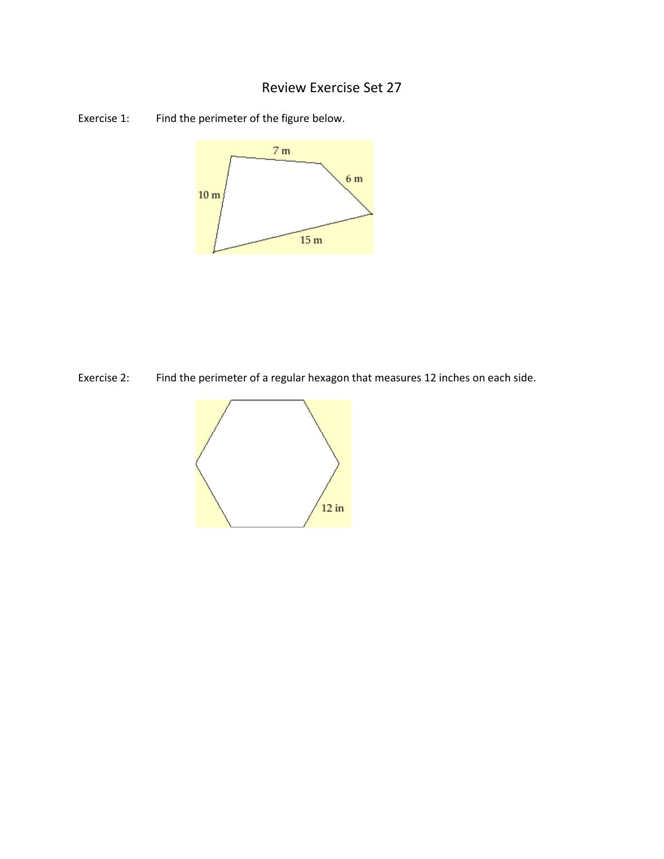## Review Exercise Set 27

Exercise 1: Find the perimeter of the figure below.



Exercise 2: Find the perimeter of a regular hexagon that measures 12 inches on each side.

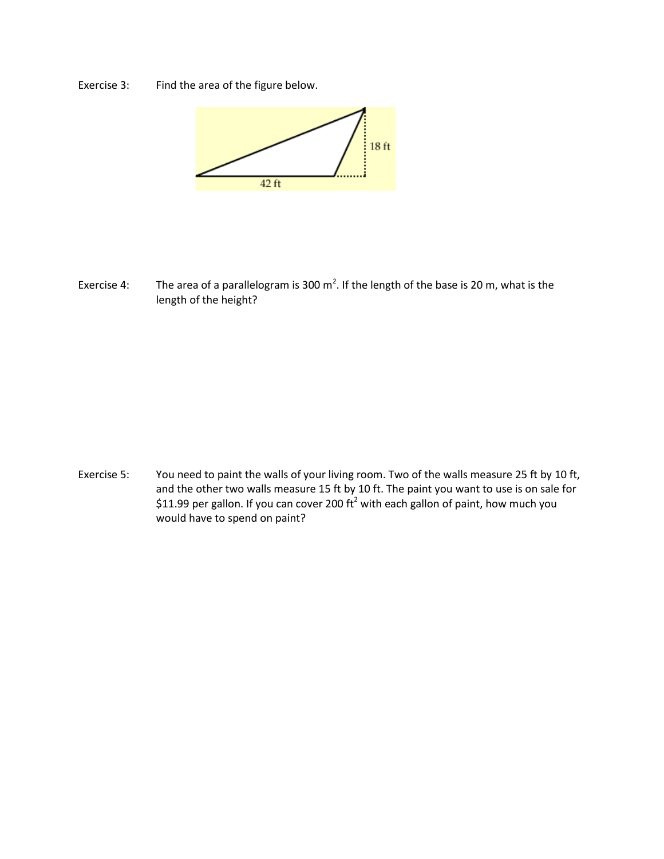Exercise 3: Find the area of the figure below.



Exercise 4: The area of a parallelogram is 300 m<sup>2</sup>. If the length of the base is 20 m, what is the length of the height?

Exercise 5: You need to paint the walls of your living room. Two of the walls measure 25 ft by 10 ft, and the other two walls measure 15 ft by 10 ft. The paint you want to use is on sale for \$11.99 per gallon. If you can cover 200  $\text{ft}^2$  with each gallon of paint, how much you would have to spend on paint?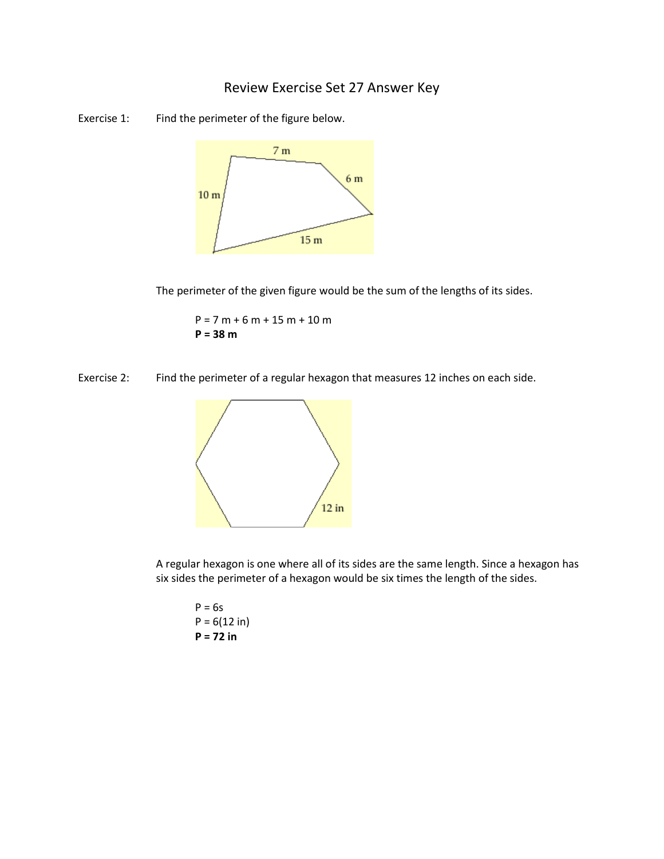## Review Exercise Set 27 Answer Key





The perimeter of the given figure would be the sum of the lengths of its sides.

 $P = 7 m + 6 m + 15 m + 10 m$ **P = 38 m**





A regular hexagon is one where all of its sides are the same length. Since a hexagon has six sides the perimeter of a hexagon would be six times the length of the sides.

 $P = 6s$  $P = 6(12 \text{ in})$ **P = 72 in**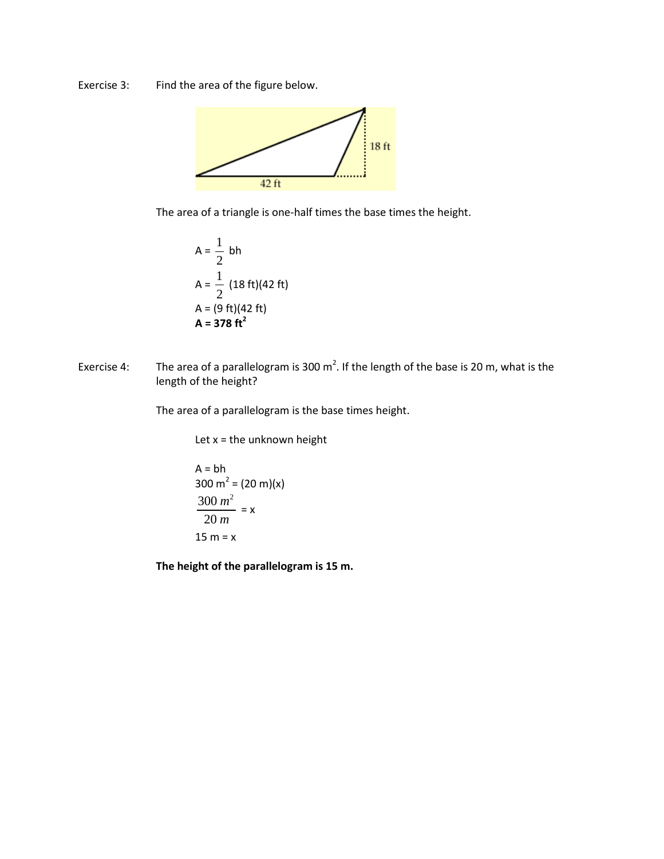Exercise 3: Find the area of the figure below.



The area of a triangle is one-half times the base times the height.

$$
A = \frac{1}{2} bh
$$
  
\n
$$
A = \frac{1}{2} (18 ft)(42 ft)
$$
  
\n
$$
A = (9 ft)(42 ft)
$$
  
\n
$$
A = 378 ft2
$$

Exercise 4: The area of a parallelogram is 300 m<sup>2</sup>. If the length of the base is 20 m, what is the length of the height?

The area of a parallelogram is the base times height.

Let  $x =$  the unknown height

A = bh  
300 m<sup>2</sup> = (20 m)(x)  

$$
\frac{300 m^2}{20 m} = x
$$
  
15 m = x

**The height of the parallelogram is 15 m.**